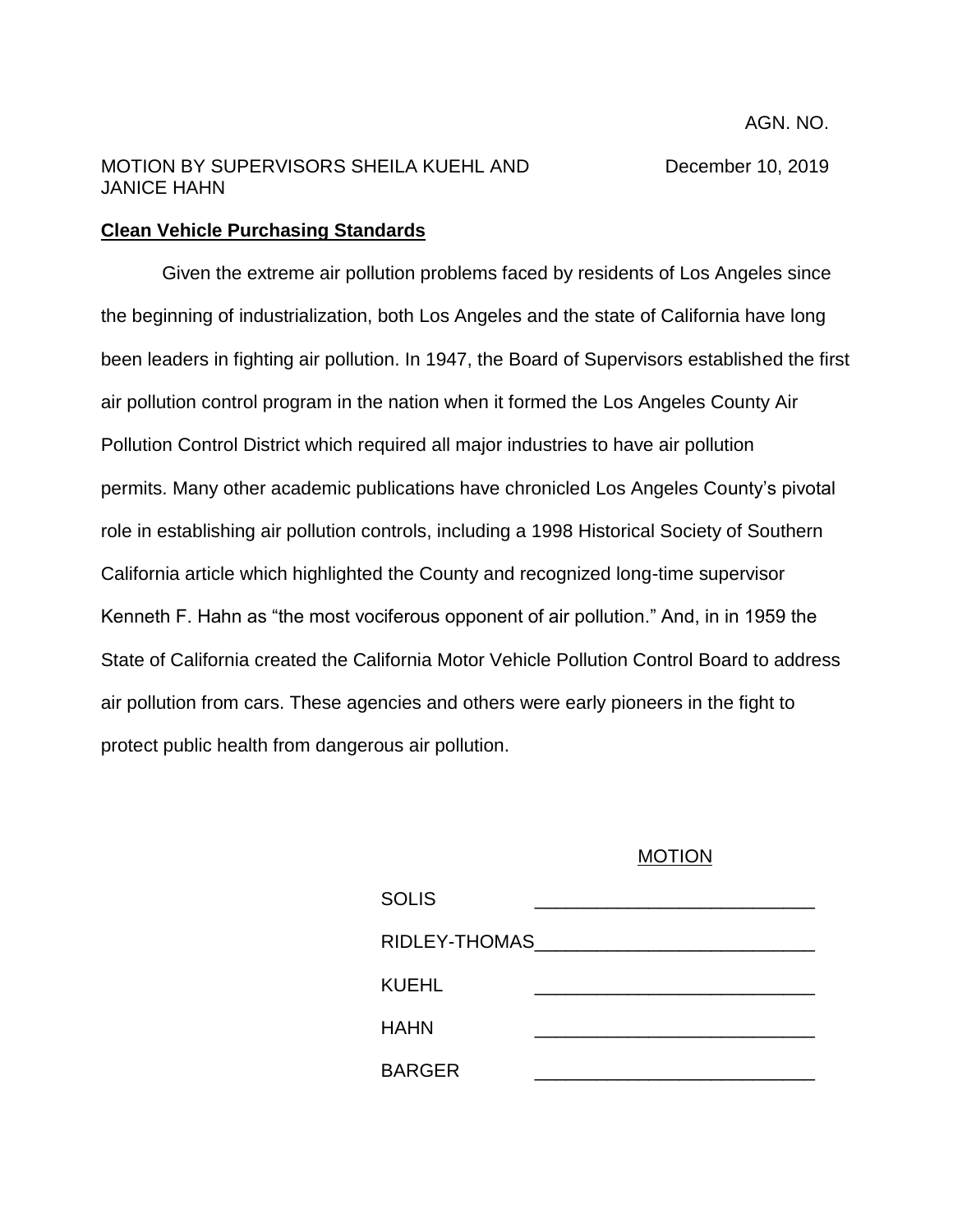## MOTION BY SUPERVISORS SHEILA KUEHL AND December 10, 2019 JANICE HAHN

## **Clean Vehicle Purchasing Standards**

Given the extreme air pollution problems faced by residents of Los Angeles since the beginning of industrialization, both Los Angeles and the state of California have long been leaders in fighting air pollution. In 1947, the Board of Supervisors established the first air pollution control program in the nation when it formed the Los Angeles County Air Pollution Control District which required all major industries to have air pollution permits. Many other academic publications have chronicled Los Angeles County's pivotal role in establishing air pollution controls, including a 1998 Historical Society of Southern California article which highlighted the County and recognized long-time supervisor Kenneth F. Hahn as "the most vociferous opponent of air pollution." And, in in 1959 the State of California created the California Motor Vehicle Pollution Control Board to address air pollution from cars. These agencies and others were early pioneers in the fight to protect public health from dangerous air pollution.

## MOTION

| SOLIS           |  |
|-----------------|--|
| RIDLEY-THOMAS__ |  |
| KUEHL           |  |
| <b>HAHN</b>     |  |
| <b>BARGER</b>   |  |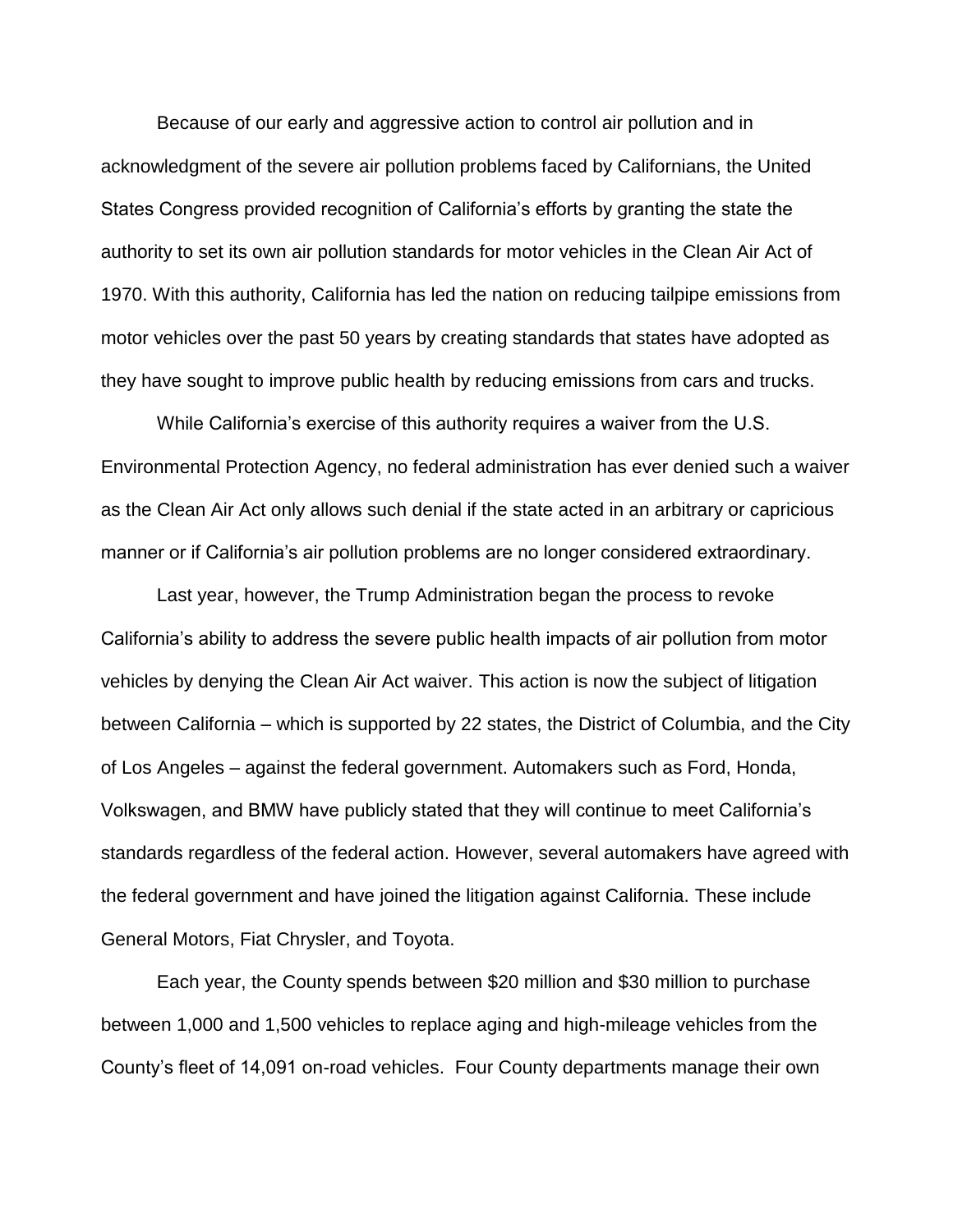Because of our early and aggressive action to control air pollution and in acknowledgment of the severe air pollution problems faced by Californians, the United States Congress provided recognition of California's efforts by granting the state the authority to set its own air pollution standards for motor vehicles in the Clean Air Act of 1970. With this authority, California has led the nation on reducing tailpipe emissions from motor vehicles over the past 50 years by creating standards that states have adopted as they have sought to improve public health by reducing emissions from cars and trucks.

While California's exercise of this authority requires a waiver from the U.S. Environmental Protection Agency, no federal administration has ever denied such a waiver as the Clean Air Act only allows such denial if the state acted in an arbitrary or capricious manner or if California's air pollution problems are no longer considered extraordinary.

Last year, however, the Trump Administration began the process to revoke California's ability to address the severe public health impacts of air pollution from motor vehicles by denying the Clean Air Act waiver. This action is now the subject of litigation between California – which is supported by 22 states, the District of Columbia, and the City of Los Angeles – against the federal government. Automakers such as Ford, Honda, Volkswagen, and BMW have publicly stated that they will continue to meet California's standards regardless of the federal action. However, several automakers have agreed with the federal government and have joined the litigation against California. These include General Motors, Fiat Chrysler, and Toyota.

Each year, the County spends between \$20 million and \$30 million to purchase between 1,000 and 1,500 vehicles to replace aging and high-mileage vehicles from the County's fleet of 14,091 on-road vehicles. Four County departments manage their own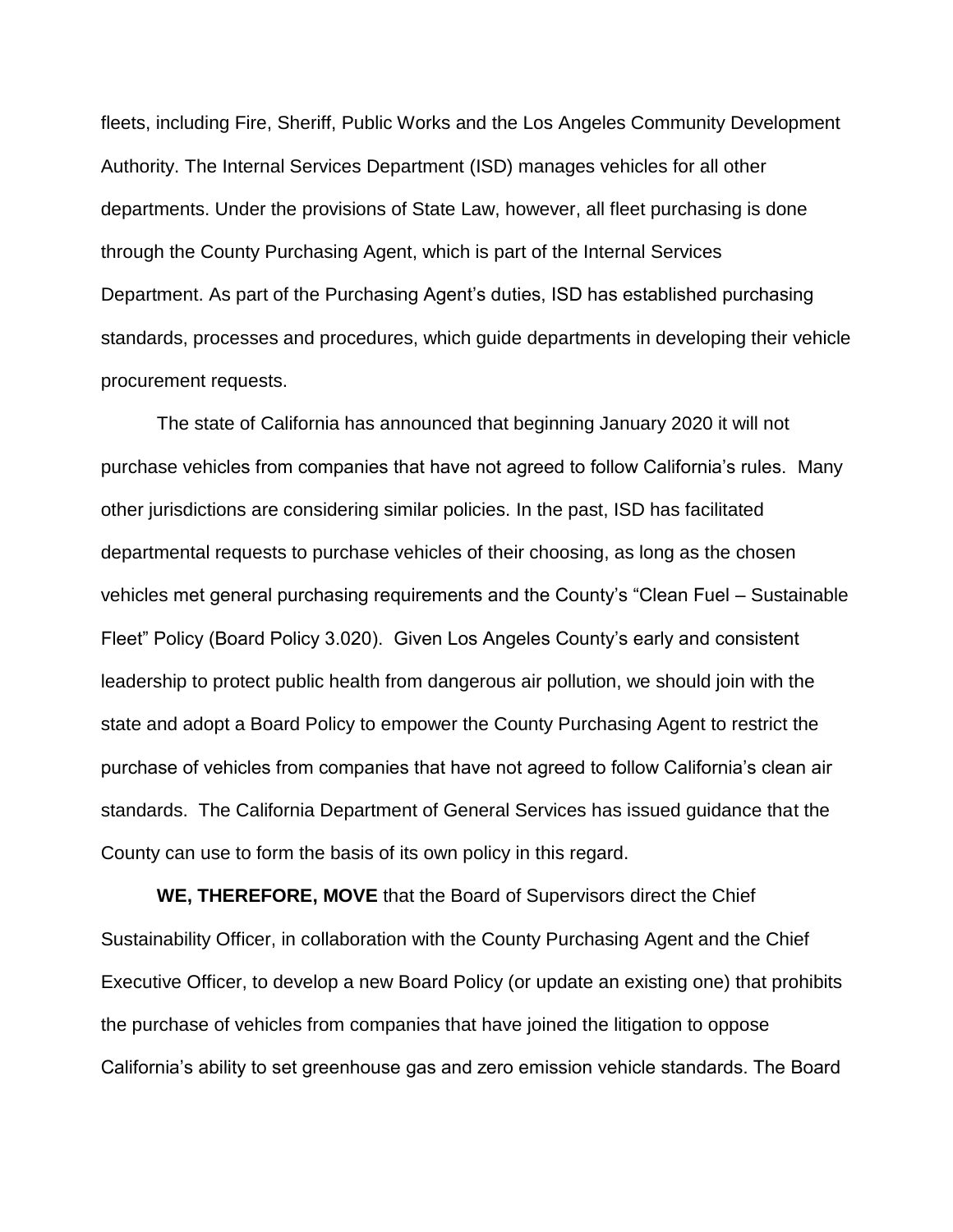fleets, including Fire, Sheriff, Public Works and the Los Angeles Community Development Authority. The Internal Services Department (ISD) manages vehicles for all other departments. Under the provisions of State Law, however, all fleet purchasing is done through the County Purchasing Agent, which is part of the Internal Services Department. As part of the Purchasing Agent's duties, ISD has established purchasing standards, processes and procedures, which guide departments in developing their vehicle procurement requests.

The state of California has announced that beginning January 2020 it will not purchase vehicles from companies that have not agreed to follow California's rules. Many other jurisdictions are considering similar policies. In the past, ISD has facilitated departmental requests to purchase vehicles of their choosing, as long as the chosen vehicles met general purchasing requirements and the County's "Clean Fuel – Sustainable Fleet" Policy (Board Policy 3.020). Given Los Angeles County's early and consistent leadership to protect public health from dangerous air pollution, we should join with the state and adopt a Board Policy to empower the County Purchasing Agent to restrict the purchase of vehicles from companies that have not agreed to follow California's clean air standards. The California Department of General Services has issued guidance that the County can use to form the basis of its own policy in this regard.

**WE, THEREFORE, MOVE** that the Board of Supervisors direct the Chief Sustainability Officer, in collaboration with the County Purchasing Agent and the Chief Executive Officer, to develop a new Board Policy (or update an existing one) that prohibits the purchase of vehicles from companies that have joined the litigation to oppose California's ability to set greenhouse gas and zero emission vehicle standards. The Board